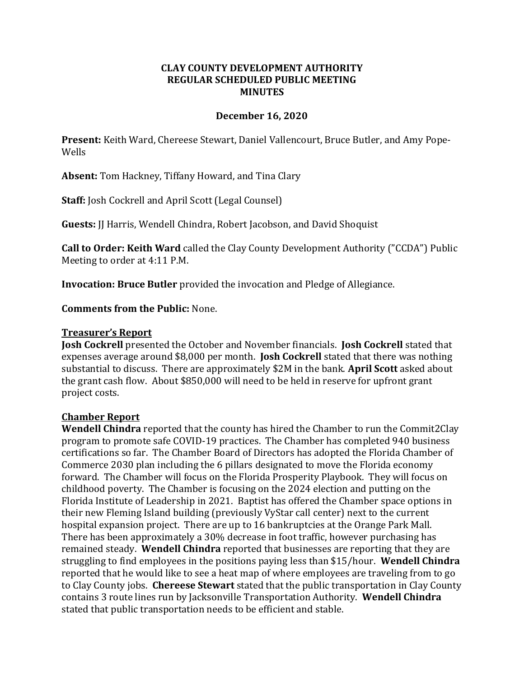### **CLAY COUNTY DEVELOPMENT AUTHORITY REGULAR SCHEDULED PUBLIC MEETING MINUTES**

### **December 16, 2020**

**Present:** Keith Ward, Chereese Stewart, Daniel Vallencourt, Bruce Butler, and Amy Pope-Wells

**Absent:** Tom Hackney, Tiffany Howard, and Tina Clary

**Staff:** Josh Cockrell and April Scott (Legal Counsel)

**Guests:** JJ Harris, Wendell Chindra, Robert Jacobson, and David Shoquist

**Call to Order: Keith Ward** called the Clay County Development Authority ("CCDA") Public Meeting to order at 4:11 P.M.

**Invocation: Bruce Butler** provided the invocation and Pledge of Allegiance.

**Comments from the Public:** None.

#### **Treasurer's Report**

**Josh Cockrell** presented the October and November financials. **Josh Cockrell** stated that expenses average around \$8,000 per month. **Josh Cockrell** stated that there was nothing substantial to discuss. There are approximately \$2M in the bank. **April Scott** asked about the grant cash flow. About \$850,000 will need to be held in reserve for upfront grant project costs.

#### **Chamber Report**

**Wendell Chindra** reported that the county has hired the Chamber to run the Commit2Clay program to promote safe COVID-19 practices. The Chamber has completed 940 business certifications so far. The Chamber Board of Directors has adopted the Florida Chamber of Commerce 2030 plan including the 6 pillars designated to move the Florida economy forward. The Chamber will focus on the Florida Prosperity Playbook. They will focus on childhood poverty. The Chamber is focusing on the 2024 election and putting on the Florida Institute of Leadership in 2021. Baptist has offered the Chamber space options in their new Fleming Island building (previously VyStar call center) next to the current hospital expansion project. There are up to 16 bankruptcies at the Orange Park Mall. There has been approximately a 30% decrease in foot traffic, however purchasing has remained steady. **Wendell Chindra** reported that businesses are reporting that they are struggling to find employees in the positions paying less than \$15/hour. **Wendell Chindra** reported that he would like to see a heat map of where employees are traveling from to go to Clay County jobs. **Chereese Stewart** stated that the public transportation in Clay County contains 3 route lines run by Jacksonville Transportation Authority. **Wendell Chindra** stated that public transportation needs to be efficient and stable.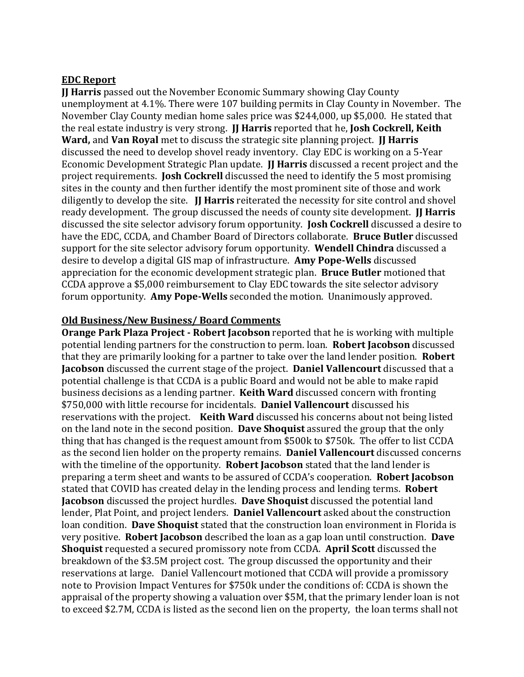#### **EDC Report**

**JJ Harris** passed out the November Economic Summary showing Clay County unemployment at 4.1%. There were 107 building permits in Clay County in November. The November Clay County median home sales price was \$244,000, up \$5,000. He stated that the real estate industry is very strong. **JJ Harris** reported that he, **Josh Cockrell, Keith Ward,** and **Van Royal** met to discuss the strategic site planning project. **JJ Harris** discussed the need to develop shovel ready inventory. Clay EDC is working on a 5-Year Economic Development Strategic Plan update. **JJ Harris** discussed a recent project and the project requirements. **Josh Cockrell** discussed the need to identify the 5 most promising sites in the county and then further identify the most prominent site of those and work diligently to develop the site. **JJ Harris** reiterated the necessity for site control and shovel ready development. The group discussed the needs of county site development. **II Harris** discussed the site selector advisory forum opportunity. **Josh Cockrell** discussed a desire to have the EDC, CCDA, and Chamber Board of Directors collaborate. **Bruce Butler** discussed support for the site selector advisory forum opportunity. **Wendell Chindra** discussed a desire to develop a digital GIS map of infrastructure. **Amy Pope-Wells** discussed appreciation for the economic development strategic plan. **Bruce Butler** motioned that CCDA approve a \$5,000 reimbursement to Clay EDC towards the site selector advisory forum opportunity. **Amy Pope-Wells** seconded the motion. Unanimously approved.

### **Old Business/New Business/ Board Comments**

**Orange Park Plaza Project - Robert Jacobson** reported that he is working with multiple potential lending partners for the construction to perm. loan. **Robert Jacobson** discussed that they are primarily looking for a partner to take over the land lender position. **Robert Jacobson** discussed the current stage of the project. **Daniel Vallencourt** discussed that a potential challenge is that CCDA is a public Board and would not be able to make rapid business decisions as a lending partner. **Keith Ward** discussed concern with fronting \$750,000 with little recourse for incidentals. **Daniel Vallencourt** discussed his reservations with the project. **Keith Ward** discussed his concerns about not being listed on the land note in the second position. **Dave Shoquist** assured the group that the only thing that has changed is the request amount from \$500k to \$750k. The offer to list CCDA as the second lien holder on the property remains. **Daniel Vallencourt** discussed concerns with the timeline of the opportunity. **Robert Jacobson** stated that the land lender is preparing a term sheet and wants to be assured of CCDA's cooperation. **Robert Jacobson** stated that COVID has created delay in the lending process and lending terms. **Robert Jacobson** discussed the project hurdles. **Dave Shoquist** discussed the potential land lender, Plat Point, and project lenders. **Daniel Vallencourt** asked about the construction loan condition. **Dave Shoquist** stated that the construction loan environment in Florida is very positive. **Robert Jacobson** described the loan as a gap loan until construction. **Dave Shoquist** requested a secured promissory note from CCDA. **April Scott** discussed the breakdown of the \$3.5M project cost. The group discussed the opportunity and their reservations at large. Daniel Vallencourt motioned that CCDA will provide a promissory note to Provision Impact Ventures for \$750k under the conditions of: CCDA is shown the appraisal of the property showing a valuation over \$5M, that the primary lender loan is not to exceed \$2.7M, CCDA is listed as the second lien on the property, the loan terms shall not